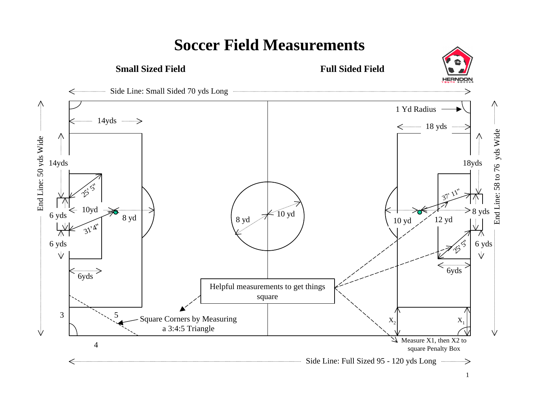

## **Soccer Field Measurements**